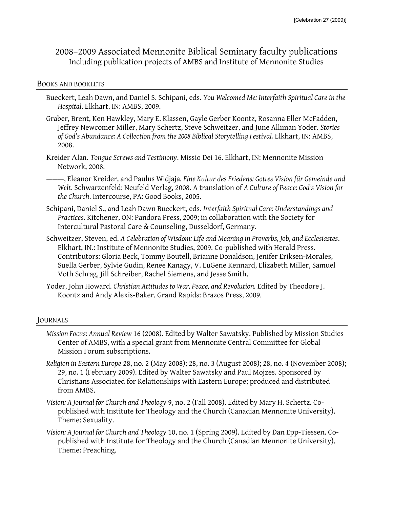# 2008–2009 Associated Mennonite Biblical Seminary faculty publications Including publication projects of AMBS and Institute of Mennonite Studies

#### BOOKS AND BOOKLETS

- Bueckert, Leah Dawn, and Daniel S. Schipani, eds. *You Welcomed Me: Interfaith Spiritual Care in the Hospital*. Elkhart, IN: AMBS, 2009.
- Graber, Brent, Ken Hawkley, Mary E. Klassen, Gayle Gerber Koontz, Rosanna Eller McFadden, Jeffrey Newcomer Miller, Mary Schertz, Steve Schweitzer, and June Alliman Yoder. *Stories of God's Abundance: A Collection from the 2008 Biblical Storytelling Festival.* Elkhart, IN: AMBS, 2008.
- Kreider Alan. *Tongue Screws and Testimony*. Missio Dei 16. Elkhart, IN: Mennonite Mission Network, 2008.
- ———, Eleanor Kreider, and Paulus Widjaja*. Eine Kultur des Friedens: Gottes Vision für Gemeinde und Welt*. Schwarzenfeld: Neufeld Verlag, 2008. A translation of *A Culture of Peace: God's Vision for the Church*. Intercourse, PA: Good Books, 2005.
- Schipani, Daniel S., and Leah Dawn Bueckert, eds. *Interfaith Spiritual Care: Understandings and Practices*. Kitchener, ON: Pandora Press, 2009; in collaboration with the Society for Intercultural Pastoral Care & Counseling, Dusseldorf, Germany.
- Schweitzer, Steven, ed. *A Celebration of Wisdom: Life and Meaning in Proverbs, Job, and Ecclesiastes*. Elkhart, IN.: Institute of Mennonite Studies, 2009. Co-published with Herald Press. Contributors: Gloria Beck, Tommy Boutell, Brianne Donaldson, Jenifer Eriksen-Morales, Suella Gerber, Sylvie Gudin, Renee Kanagy, V. EuGene Kennard, Elizabeth Miller, Samuel Voth Schrag, Jill Schreiber, Rachel Siemens, and Jesse Smith.
- Yoder, John Howard. *Christian Attitudes to War, Peace, and Revolution.* Edited by Theodore J. Koontz and Andy Alexis-Baker. Grand Rapids: Brazos Press, 2009.

### JOURNALS

- *Mission Focus: Annual Review* 16 (2008). Edited by Walter Sawatsky. Published by Mission Studies Center of AMBS, with a special grant from Mennonite Central Committee for Global Mission Forum subscriptions.
- *Religion in Eastern Europe* 28, no. 2 (May 2008); 28, no. 3 (August 2008); 28, no. 4 (November 2008); 29, no. 1 (February 2009). Edited by Walter Sawatsky and Paul Mojzes. Sponsored by Christians Associated for Relationships with Eastern Europe; produced and distributed from AMBS.
- *Vision: A Journal for Church and Theology* 9, no. 2 (Fall 2008). Edited by Mary H. Schertz. Copublished with Institute for Theology and the Church (Canadian Mennonite University). Theme: Sexuality.
- *Vision: A Journal for Church and Theology* 10, no. 1 (Spring 2009). Edited by Dan Epp-Tiessen. Copublished with Institute for Theology and the Church (Canadian Mennonite University). Theme: Preaching.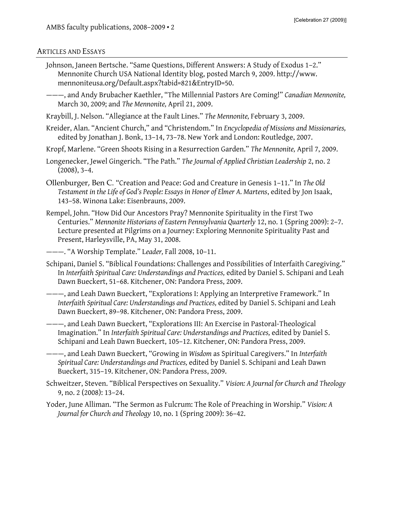#### ARTICLES AND ESSAYS

- Johnson, Janeen Bertsche. "Same Questions, Different Answers: A Study of Exodus 1–2." Mennonite Church USA National Identity blog, posted March 9, 2009. http://www. mennoniteusa.org/Default.aspx?tabid=821&EntryID=50.
- ———, and Andy Brubacher Kaethler, "The Millennial Pastors Are Coming!" *Canadian Mennonite,* March 30, 2009; and *The Mennonite,* April 21, 2009.
- Kraybill, J. Nelson. "Allegiance at the Fault Lines." *The Mennonite,* February 3, 2009.
- Kreider, Alan. "Ancient Church," and "Christendom." In *Encyclopedia of Missions and Missionaries,* edited by Jonathan J. Bonk, 13–14, 73–78. New York and London: Routledge, 2007.
- Kropf, Marlene. "Green Shoots Rising in a Resurrection Garden." *The Mennonite,* April 7, 2009.
- Longenecker, Jewel Gingerich. "The Path." *The Journal of Applied Christian Leadership* 2, no. 2  $(2008), 3-4.$
- Ollenburger, Ben C. "Creation and Peace: God and Creature in Genesis 1–11." In *The Old Testament in the Life of God's People: Essays in Honor of Elmer A. Martens*, edited by Jon Isaak, 143–58. Winona Lake: Eisenbrauns, 2009.
- Rempel, John. "How Did Our Ancestors Pray? Mennonite Spirituality in the First Two Centuries." *Mennonite Historians of Eastern Pennsylvania Quarterly* 12, no. 1 (Spring 2009): 2–7. Lecture presented at Pilgrims on a Journey: Exploring Mennonite Spirituality Past and Present, Harleysville, PA, May 31, 2008.

———. "A Worship Template." L*eader,* Fall 2008, 10–11.

- Schipani, Daniel S. "Biblical Foundations: Challenges and Possibilities of Interfaith Caregiving." In *Interfaith Spiritual Care: Understandings and Practices,* edited by Daniel S. Schipani and Leah Dawn Bueckert, 51–68. Kitchener, ON: Pandora Press, 2009.
- ———, and Leah Dawn Bueckert, "Explorations I: Applying an Interpretive Framework." In *Interfaith Spiritual Care: Understandings and Practices,* edited by Daniel S. Schipani and Leah Dawn Bueckert, 89–98. Kitchener, ON: Pandora Press, 2009.
- ———, and Leah Dawn Bueckert, "Explorations III: An Exercise in Pastoral-Theological Imagination." In *Interfaith Spiritual Care: Understandings and Practices,* edited by Daniel S. Schipani and Leah Dawn Bueckert, 105–12. Kitchener, ON: Pandora Press, 2009.
- ———, and Leah Dawn Bueckert, "Growing in *Wisdom* as Spiritual Caregivers." In *Interfaith Spiritual Care: Understandings and Practices,* edited by Daniel S. Schipani and Leah Dawn Bueckert, 315–19. Kitchener, ON: Pandora Press, 2009.
- Schweitzer, Steven. "Biblical Perspectives on Sexuality." *Vision: A Journal for Church and Theology* 9, no. 2 (2008): 13–24.
- Yoder, June Alliman. "The Sermon as Fulcrum: The Role of Preaching in Worship." *Vision: A Journal for Church and Theology* 10, no. 1 (Spring 2009): 36–42.